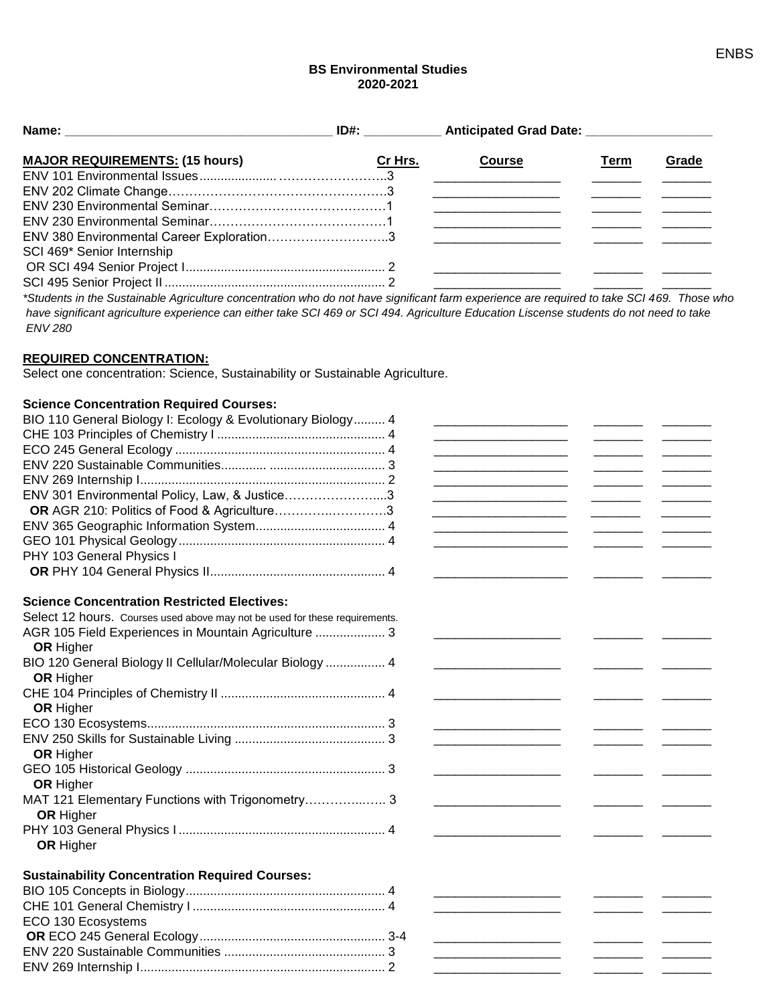## **BS Environmental Studies 2020-2021**

| <b>MAJOR REQUIREMENTS: (15 hours)</b>     | Cr Hrs. | <b>Course</b> | Term | Grade |
|-------------------------------------------|---------|---------------|------|-------|
|                                           |         |               |      |       |
|                                           |         |               |      |       |
|                                           |         |               |      |       |
|                                           |         |               |      |       |
| ENV 380 Environmental Career Exploration3 |         |               |      |       |
| SCI 469* Senior Internship                |         |               |      |       |
|                                           |         |               |      |       |
|                                           |         |               |      |       |
|                                           |         |               |      |       |

*\*Students in the Sustainable Agriculture concentration who do not have significant farm experience are required to take SCI 469. Those who have significant agriculture experience can either take SCI 469 or SCI 494. Agriculture Education Liscense students do not need to take ENV 280*

### **REQUIRED CONCENTRATION:**

Select one concentration: Science, Sustainability or Sustainable Agriculture.

### **Science Concentration Required Courses:**

| BIO 110 General Biology I: Ecology & Evolutionary Biology 4                 |                                                                            |                                                                                         |
|-----------------------------------------------------------------------------|----------------------------------------------------------------------------|-----------------------------------------------------------------------------------------|
|                                                                             |                                                                            |                                                                                         |
|                                                                             | the control of the control of the control of the control of the control of |                                                                                         |
|                                                                             | <u> 1989 - Johann Barbara, martin da kasar Amerikaan kasar da</u>          | $\overline{\phantom{a}}$                                                                |
|                                                                             |                                                                            |                                                                                         |
| ENV 301 Environmental Policy, Law, & Justice3                               | the control of the control of the control of                               | $\mathcal{L}^{\text{max}}_{\text{max}}$ , where $\mathcal{L}^{\text{max}}_{\text{max}}$ |
| OR AGR 210: Politics of Food & Agriculture3                                 |                                                                            |                                                                                         |
|                                                                             | the control of the control of the control of the control of the control of |                                                                                         |
|                                                                             |                                                                            |                                                                                         |
| PHY 103 General Physics I                                                   |                                                                            |                                                                                         |
|                                                                             |                                                                            |                                                                                         |
| <b>Science Concentration Restricted Electives:</b>                          |                                                                            |                                                                                         |
| Select 12 hours. Courses used above may not be used for these requirements. |                                                                            |                                                                                         |
| AGR 105 Field Experiences in Mountain Agriculture  3                        |                                                                            |                                                                                         |
| <b>OR</b> Higher                                                            |                                                                            |                                                                                         |
| BIO 120 General Biology II Cellular/Molecular Biology  4                    |                                                                            |                                                                                         |
| <b>OR</b> Higher                                                            |                                                                            |                                                                                         |
|                                                                             |                                                                            |                                                                                         |
| <b>OR</b> Higher                                                            |                                                                            |                                                                                         |
|                                                                             |                                                                            |                                                                                         |
|                                                                             |                                                                            |                                                                                         |
| <b>OR Higher</b>                                                            |                                                                            |                                                                                         |
|                                                                             |                                                                            |                                                                                         |
| <b>OR Higher</b>                                                            |                                                                            |                                                                                         |
| MAT 121 Elementary Functions with Trigonometry 3                            |                                                                            |                                                                                         |
| <b>OR Higher</b>                                                            |                                                                            |                                                                                         |
|                                                                             |                                                                            |                                                                                         |
| <b>OR Higher</b>                                                            |                                                                            |                                                                                         |
| <b>Sustainability Concentration Required Courses:</b>                       |                                                                            |                                                                                         |
|                                                                             |                                                                            |                                                                                         |
|                                                                             |                                                                            |                                                                                         |
| ECO 130 Ecosystems                                                          |                                                                            |                                                                                         |
|                                                                             |                                                                            |                                                                                         |
|                                                                             |                                                                            |                                                                                         |
|                                                                             |                                                                            |                                                                                         |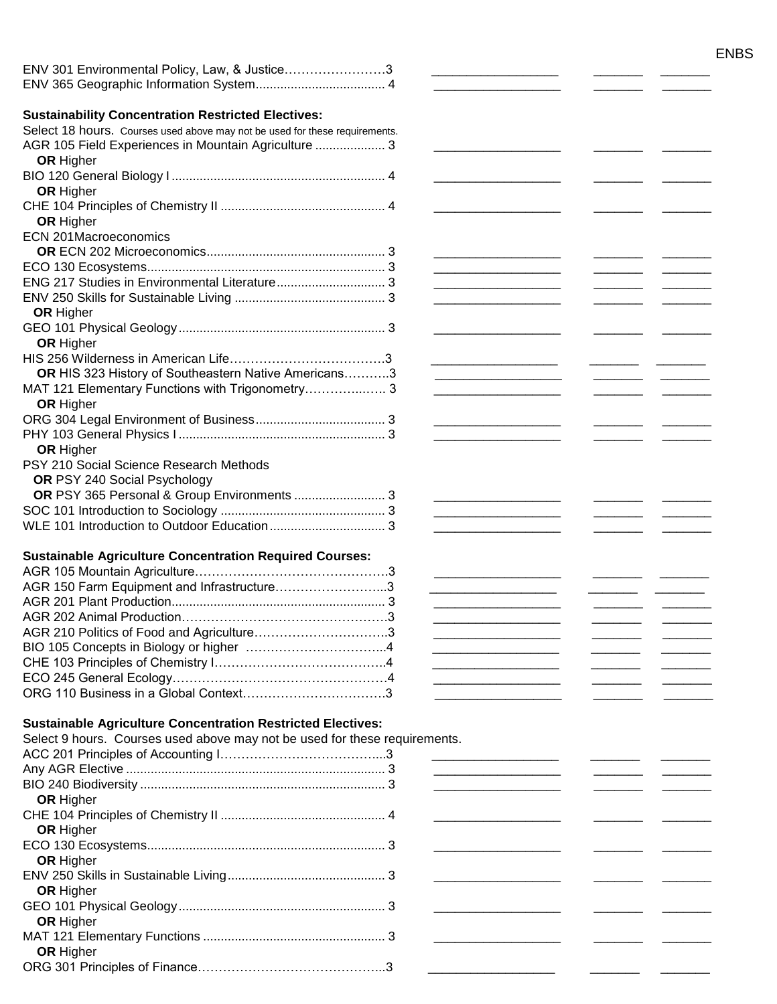|                                                                             |                                                                                                                       |  | <b>ENBS</b> |
|-----------------------------------------------------------------------------|-----------------------------------------------------------------------------------------------------------------------|--|-------------|
| ENV 301 Environmental Policy, Law, & Justice3                               |                                                                                                                       |  |             |
|                                                                             |                                                                                                                       |  |             |
|                                                                             |                                                                                                                       |  |             |
| <b>Sustainability Concentration Restricted Electives:</b>                   |                                                                                                                       |  |             |
| Select 18 hours. Courses used above may not be used for these requirements. |                                                                                                                       |  |             |
| AGR 105 Field Experiences in Mountain Agriculture  3                        |                                                                                                                       |  |             |
| <b>OR Higher</b>                                                            |                                                                                                                       |  |             |
| <b>OR Higher</b>                                                            |                                                                                                                       |  |             |
|                                                                             |                                                                                                                       |  |             |
| OR Higher                                                                   |                                                                                                                       |  |             |
| <b>ECN 201Macroeconomics</b>                                                |                                                                                                                       |  |             |
|                                                                             |                                                                                                                       |  |             |
|                                                                             | the control of the control of the control of the control of the control of                                            |  |             |
|                                                                             | the contract of the contract of the contract of the contract of the contract of                                       |  |             |
|                                                                             |                                                                                                                       |  |             |
| <b>OR Higher</b>                                                            |                                                                                                                       |  |             |
|                                                                             |                                                                                                                       |  |             |
| <b>OR Higher</b>                                                            |                                                                                                                       |  |             |
|                                                                             |                                                                                                                       |  |             |
| OR HIS 323 History of Southeastern Native Americans3                        |                                                                                                                       |  |             |
|                                                                             |                                                                                                                       |  |             |
| OR Higher                                                                   |                                                                                                                       |  |             |
|                                                                             |                                                                                                                       |  |             |
|                                                                             |                                                                                                                       |  |             |
| <b>OR Higher</b>                                                            |                                                                                                                       |  |             |
| PSY 210 Social Science Research Methods                                     |                                                                                                                       |  |             |
| OR PSY 240 Social Psychology                                                |                                                                                                                       |  |             |
| OR PSY 365 Personal & Group Environments  3                                 |                                                                                                                       |  |             |
|                                                                             |                                                                                                                       |  |             |
|                                                                             |                                                                                                                       |  |             |
|                                                                             |                                                                                                                       |  |             |
| <b>Sustainable Agriculture Concentration Required Courses:</b>              |                                                                                                                       |  |             |
| AGR 150 Farm Equipment and Infrastructure3                                  |                                                                                                                       |  |             |
|                                                                             |                                                                                                                       |  |             |
|                                                                             |                                                                                                                       |  |             |
|                                                                             |                                                                                                                       |  |             |
|                                                                             | <u> 1980 - Johann Barbara, martin amerikan per</u>                                                                    |  |             |
|                                                                             | the contract of the contract of the contract of                                                                       |  |             |
|                                                                             |                                                                                                                       |  |             |
|                                                                             |                                                                                                                       |  |             |
|                                                                             |                                                                                                                       |  |             |
| <b>Sustainable Agriculture Concentration Restricted Electives:</b>          |                                                                                                                       |  |             |
| Select 9 hours. Courses used above may not be used for these requirements.  |                                                                                                                       |  |             |
|                                                                             | <u> 1989 - Johann John Stone, mars et al. 1989 - 1989 - 1989 - 1989 - 1989 - 1989 - 1989 - 1989 - 1989 - 1989 - 1</u> |  |             |
|                                                                             |                                                                                                                       |  |             |
|                                                                             |                                                                                                                       |  |             |
| <b>OR Higher</b>                                                            |                                                                                                                       |  |             |
|                                                                             |                                                                                                                       |  |             |
| OR Higher                                                                   |                                                                                                                       |  |             |
|                                                                             |                                                                                                                       |  |             |
| <b>OR Higher</b>                                                            |                                                                                                                       |  |             |
|                                                                             |                                                                                                                       |  |             |
| <b>OR Higher</b>                                                            |                                                                                                                       |  |             |
|                                                                             |                                                                                                                       |  |             |
| <b>OR Higher</b>                                                            |                                                                                                                       |  |             |
|                                                                             |                                                                                                                       |  |             |
| <b>OR Higher</b>                                                            |                                                                                                                       |  |             |
|                                                                             |                                                                                                                       |  |             |